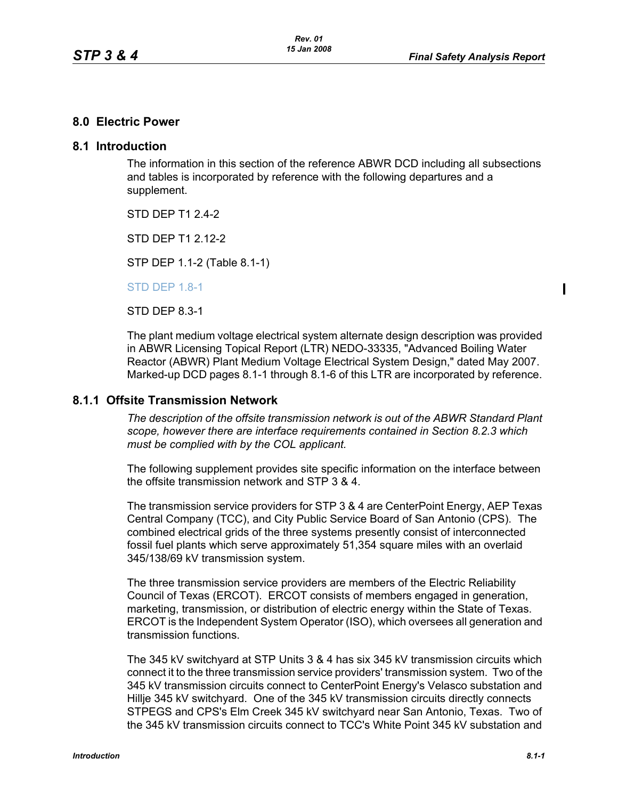### **8.0 Electric Power**

#### **8.1 Introduction**

The information in this section of the reference ABWR DCD including all subsections and tables is incorporated by reference with the following departures and a supplement.

STD DFP T1 2 4-2

STD DFP T1 2 12-2

STP DEP 1.1-2 (Table 8.1-1)

STD DEP 1.8-1

STD DEP 8.3-1

The plant medium voltage electrical system alternate design description was provided in ABWR Licensing Topical Report (LTR) NEDO-33335, "Advanced Boiling Water Reactor (ABWR) Plant Medium Voltage Electrical System Design," dated May 2007. Marked-up DCD pages 8.1-1 through 8.1-6 of this LTR are incorporated by reference.

#### **8.1.1 Offsite Transmission Network**

*The description of the offsite transmission network is out of the ABWR Standard Plant scope, however there are interface requirements contained in Section 8.2.3 which must be complied with by the COL applicant.* 

The following supplement provides site specific information on the interface between the offsite transmission network and STP 3 & 4.

The transmission service providers for STP 3 & 4 are CenterPoint Energy, AEP Texas Central Company (TCC), and City Public Service Board of San Antonio (CPS). The combined electrical grids of the three systems presently consist of interconnected fossil fuel plants which serve approximately 51,354 square miles with an overlaid 345/138/69 kV transmission system.

The three transmission service providers are members of the Electric Reliability Council of Texas (ERCOT). ERCOT consists of members engaged in generation, marketing, transmission, or distribution of electric energy within the State of Texas. ERCOT is the Independent System Operator (ISO), which oversees all generation and transmission functions.

The 345 kV switchyard at STP Units 3 & 4 has six 345 kV transmission circuits which connect it to the three transmission service providers' transmission system. Two of the 345 kV transmission circuits connect to CenterPoint Energy's Velasco substation and Hillje 345 kV switchyard. One of the 345 kV transmission circuits directly connects STPEGS and CPS's Elm Creek 345 kV switchyard near San Antonio, Texas. Two of the 345 kV transmission circuits connect to TCC's White Point 345 kV substation and  $\blacksquare$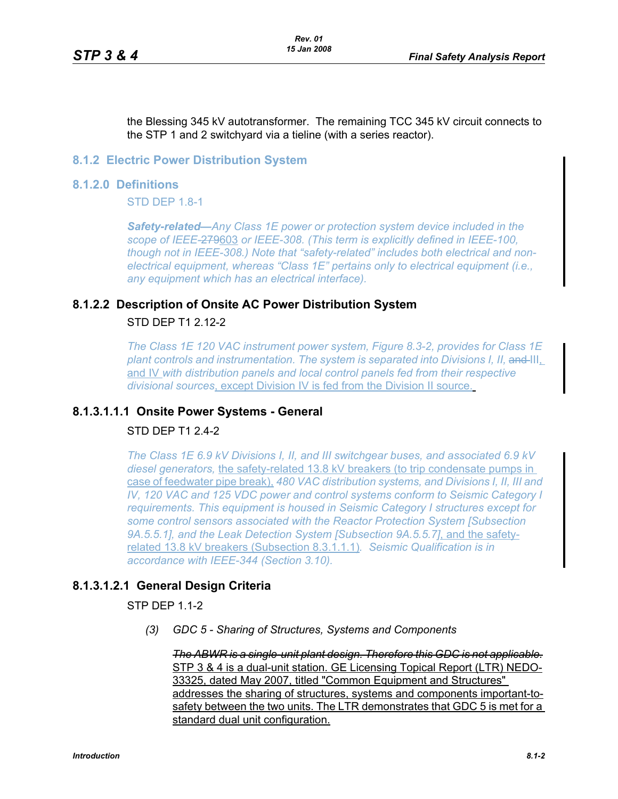the Blessing 345 kV autotransformer. The remaining TCC 345 kV circuit connects to the STP 1 and 2 switchyard via a tieline (with a series reactor).

#### **8.1.2 Electric Power Distribution System**

#### **8.1.2.0 Definitions**

**STD DFP 1.8-1** 

*Safety-related—Any Class 1E power or protection system device included in the scope of IEEE-*279603 *or IEEE-308. (This term is explicitly defined in IEEE-100, though not in IEEE-308.) Note that "safety-related" includes both electrical and nonelectrical equipment, whereas "Class 1E" pertains only to electrical equipment (i.e., any equipment which has an electrical interface).*

# **8.1.2.2 Description of Onsite AC Power Distribution System** STD DEP T1 2.12-2

*The Class 1E 120 VAC instrument power system, Figure 8.3-2, provides for Class 1E*  plant controls and instrumentation. The system is separated into Divisions I, II, and III, and IV *with distribution panels and local control panels fed from their respective divisional sources*, except Division IV is fed from the Division II source.

### **8.1.3.1.1.1 Onsite Power Systems - General**

# STD DEP T1 2.4-2

*The Class 1E 6.9 kV Divisions I, II, and III switchgear buses, and associated 6.9 kV diesel generators,* the safety-related 13.8 kV breakers (to trip condensate pumps in case of feedwater pipe break), *480 VAC distribution systems, and Divisions I, II, III and IV, 120 VAC and 125 VDC power and control systems conform to Seismic Category I requirements. This equipment is housed in Seismic Category I structures except for some control sensors associated with the Reactor Protection System [Subsection 9A.5.5.1], and the Leak Detection System [Subsection 9A.5.5.7]*, and the safetyrelated 13.8 kV breakers (Subsection 8.3.1.1.1)*. Seismic Qualification is in accordance with IEEE-344 (Section 3.10).*

### **8.1.3.1.2.1 General Design Criteria**

STP DEP 1.1-2

*(3) GDC 5 - Sharing of Structures, Systems and Components* 

*The ABWR is a single-unit plant design. Therefore this GDC is not applicable.* STP 3 & 4 is a dual-unit station. GE Licensing Topical Report (LTR) NEDO-33325, dated May 2007, titled "Common Equipment and Structures" addresses the sharing of structures, systems and components important-tosafety between the two units. The LTR demonstrates that GDC 5 is met for a standard dual unit configuration.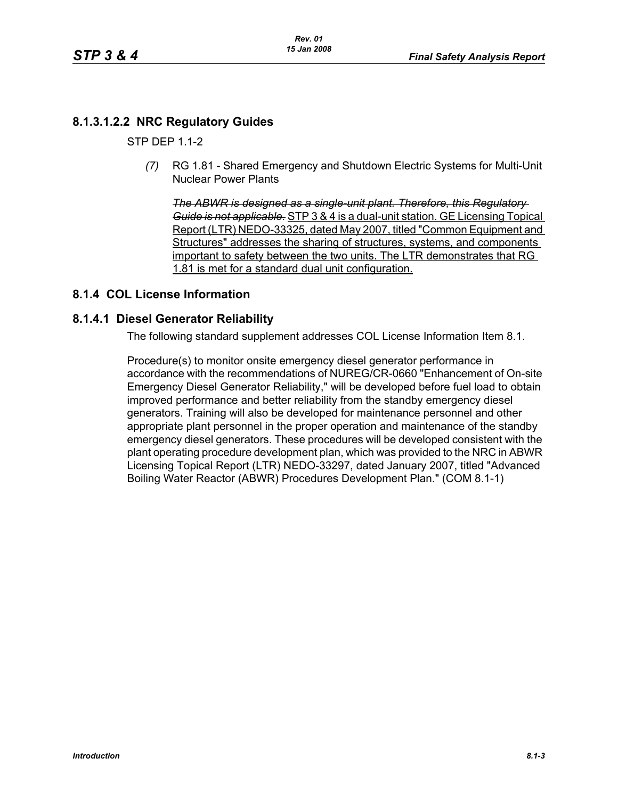# **8.1.3.1.2.2 NRC Regulatory Guides**

**STP DFP 1 1-2** 

*(7)* RG 1.81 - Shared Emergency and Shutdown Electric Systems for Multi-Unit Nuclear Power Plants

*The ABWR is designed as a single-unit plant. Therefore, this Regulatory Guide is not applicable.* STP 3 & 4 is a dual-unit station. GE Licensing Topical Report (LTR) NEDO-33325, dated May 2007, titled "Common Equipment and Structures" addresses the sharing of structures, systems, and components important to safety between the two units. The LTR demonstrates that RG 1.81 is met for a standard dual unit configuration.

# **8.1.4 COL License Information**

#### **8.1.4.1 Diesel Generator Reliability**

The following standard supplement addresses COL License Information Item 8.1.

Procedure(s) to monitor onsite emergency diesel generator performance in accordance with the recommendations of NUREG/CR-0660 "Enhancement of On-site Emergency Diesel Generator Reliability," will be developed before fuel load to obtain improved performance and better reliability from the standby emergency diesel generators. Training will also be developed for maintenance personnel and other appropriate plant personnel in the proper operation and maintenance of the standby emergency diesel generators. These procedures will be developed consistent with the plant operating procedure development plan, which was provided to the NRC in ABWR Licensing Topical Report (LTR) NEDO-33297, dated January 2007, titled "Advanced Boiling Water Reactor (ABWR) Procedures Development Plan." (COM 8.1-1)